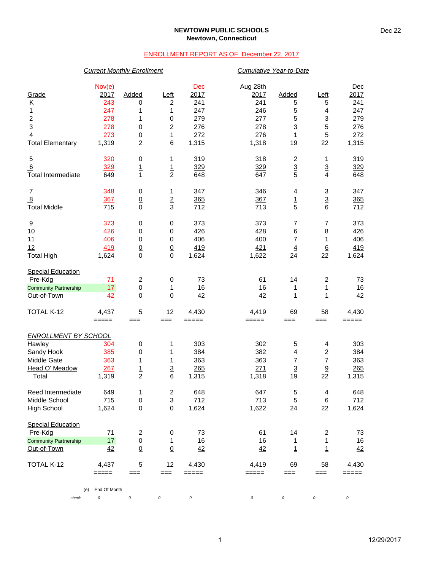### **NEWTOWN PUBLIC SCHOOLS Newtown, Connecticut**

## ENROLLMENT REPORT AS OF December 22, 2017

## *Current Monthly Enrollment Cumulative Year-to-Date*

|                                             | Nov(e)               |                             |                  | Dec      | Aug 28th             |                          |                         | Dec     |
|---------------------------------------------|----------------------|-----------------------------|------------------|----------|----------------------|--------------------------|-------------------------|---------|
| Grade                                       | 2017                 | Added                       | Left             | 2017     | 2017                 | <b>Added</b>             | Left                    | 2017    |
| K                                           | 243                  | 0                           | $\boldsymbol{2}$ | 241      | 241                  | 5                        | 5                       | 241     |
| 1                                           | 247                  | 1                           | 1                | 247      | 246                  | 5                        | $\overline{\mathbf{4}}$ | 247     |
| $\boldsymbol{2}$                            | 278                  | 1                           | $\,0\,$          | 279      | 277                  | 5                        | 3                       | 279     |
| 3                                           | 278                  | 0                           | $\boldsymbol{2}$ | 276      | 278                  | 3                        | $\mathbf 5$             | 276     |
| $\overline{4}$                              | 273                  | $\overline{0}$              | $\overline{1}$   | 272      | 276                  | $\overline{1}$           | $\overline{5}$          | 272     |
| <b>Total Elementary</b>                     | 1,319                | $\overline{c}$              | 6                | 1,315    | 1,318                | 19                       | 22                      | 1,315   |
| 5                                           | 320                  | 0                           | 1                | 319      | 318                  | 2                        | 1                       | 319     |
| 6                                           | 329                  | $\overline{1}$              | $\frac{1}{2}$    | 329      | 329                  | $\frac{3}{5}$            | $\overline{3}$          | 329     |
| <b>Total Intermediate</b>                   | 649                  | 1                           |                  | 648      | 647                  |                          | $\overline{\mathbf{4}}$ | 648     |
| $\overline{7}$                              | 348                  | 0                           | 1                | 347      | 346                  | 4                        | 3                       | 347     |
| $\overline{8}$                              | 367                  | $\overline{0}$              | $\overline{2}$   | 365      | 367                  | $\overline{1}$           | $\overline{3}$          | 365     |
| <b>Total Middle</b>                         | 715                  | $\mathbf 0$                 | 3                | 712      | 713                  | 5                        | 6                       | 712     |
| 9                                           | 373                  | 0                           | $\,0\,$          | 373      | 373                  | 7                        | 7                       | 373     |
| 10                                          | 426                  | 0                           | 0                | 426      | 428                  | 6                        | 8                       | 426     |
| 11                                          | 406                  | 0                           | 0                | 406      | 400                  | $\overline{7}$           | 1                       | 406     |
| 12                                          | 419                  | $\overline{0}$              | $\underline{0}$  | 419      | 421                  | $\overline{4}$           | $\underline{6}$         | 419     |
| <b>Total High</b>                           | 1,624                | $\mathbf 0$                 | $\mathbf 0$      | 1,624    | 1,622                | 24                       | 22                      | 1,624   |
| <b>Special Education</b>                    |                      |                             |                  |          |                      |                          |                         |         |
| Pre-Kdg                                     | 71                   | $\overline{c}$<br>$\pmb{0}$ | 0                | 73<br>16 | 61<br>16             | 14                       | 2                       | 73      |
| <b>Community Partnership</b><br>Out-of-Town | 17                   |                             | 1                |          |                      | 1                        | 1                       | 16      |
|                                             | 42                   | $\underline{0}$             | $\underline{0}$  | 42       | 42                   | $\overline{1}$           | <u>1</u>                | 42      |
| TOTAL K-12                                  | 4,437                | 5                           | 12               | 4,430    | 4,419                | 69                       | 58                      | 4,430   |
|                                             | =====                | $==$                        | ===              | $=====$  | =====<br>$==$<br>=== | $=====$                  |                         |         |
| <b>ENROLLMENT BY SCHOOL</b>                 |                      |                             |                  |          |                      |                          |                         |         |
| Hawley                                      | 304                  | $\pmb{0}$                   | 1                | 303      | 302                  | 5                        | 4                       | 303     |
| Sandy Hook                                  | 385                  | 0                           | 1                | 384      | 382                  | 4                        | 2                       | 384     |
| Middle Gate                                 | 363                  | 1                           | 1                | 363      | 363                  | $\overline{7}$           | $\overline{7}$          | 363     |
| Head O' Meadow                              | 267                  | $\overline{1}$              | $\overline{3}$   | 265      | 271                  | $\underline{\mathbf{3}}$ | $\underline{9}$         | 265     |
| Total                                       | 1,319                | $\overline{2}$              | 6                | 1,315    | 1,318                | 19                       | 22                      | 1,315   |
| Reed Intermediate                           | 649                  | 1                           | $\boldsymbol{2}$ | 648      | 647                  | 5                        | 4                       | 648     |
| Middle School                               | 715                  | $\mathbf 0$                 | 3                | 712      | 713                  | 5                        | 6                       | 712     |
| <b>High School</b>                          | 1,624                | 0                           | $\mathbf 0$      | 1,624    | 1,622                | 24                       | 22                      | 1,624   |
| <b>Special Education</b>                    |                      |                             |                  |          |                      |                          |                         |         |
| Pre-Kdg                                     | 71                   | $\overline{\mathbf{c}}$     | 0                | 73       | 61                   | 14                       | $\overline{\mathbf{c}}$ | 73      |
| <b>Community Partnership</b>                | 17                   | 0                           | 1                | 16       | 16                   | 1                        | 1                       | 16      |
| Out-of-Town                                 | 42                   | $\underline{0}$             | $\underline{0}$  | 42       | 42                   | $\overline{1}$           | $\overline{1}$          | 42      |
| TOTAL K-12                                  | 4,437                | 5                           | 12               | 4,430    | 4,419                | 69                       | 58                      | 4,430   |
|                                             | =====                | $==$                        | ===              | $=====$  | =====                | ===                      | ===                     | $=====$ |
|                                             | $(e)$ = End Of Month |                             |                  |          |                      |                          |                         |         |
| check                                       | $\cal O$             | 0                           | 0                | 0        | 0                    | 0                        | 0                       | 0       |